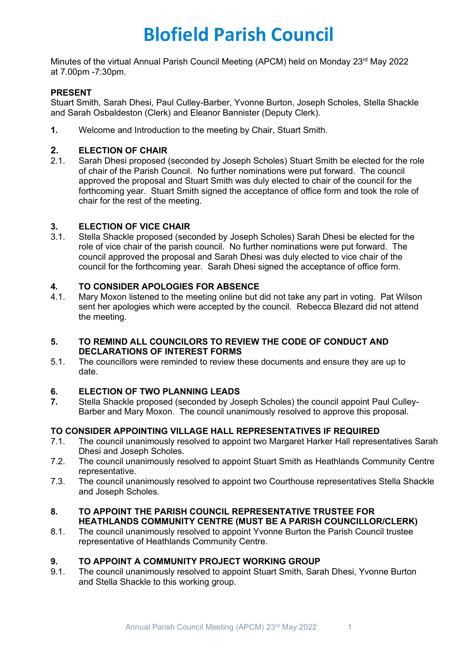# **Blofield Parish Council**

Minutes of the virtual Annual Parish Council Meeting (APCM) held on Monday 23<sup>rd</sup> May 2022 at 7.00pm -7:30pm.

# **PRESENT**

Stuart Smith, Sarah Dhesi, Paul Culley-Barber, Yvonne Burton, Joseph Scholes, Stella Shackle and Sarah Osbaldeston (Clerk) and Eleanor Bannister (Deputy Clerk).

**1.** Welcome and Introduction to the meeting by Chair, Stuart Smith.

# **2. ELECTION OF CHAIR**<br>2.1. Sarah Dhesi proposed (

2.1. Sarah Dhesi proposed (seconded by Joseph Scholes) Stuart Smith be elected for the role of chair of the Parish Council. No further nominations were put forward. The council approved the proposal and Stuart Smith was duly elected to chair of the council for the forthcoming year. Stuart Smith signed the acceptance of office form and took the role of chair for the rest of the meeting.

## **3. ELECTION OF VICE CHAIR**

3.1. Stella Shackle proposed (seconded by Joseph Scholes) Sarah Dhesi be elected for the role of vice chair of the parish council. No further nominations were put forward. The council approved the proposal and Sarah Dhesi was duly elected to vice chair of the council for the forthcoming year. Sarah Dhesi signed the acceptance of office form.

# **4. TO CONSIDER APOLOGIES FOR ABSENCE**

4.1. Mary Moxon listened to the meeting online but did not take any part in voting. Pat Wilson sent her apologies which were accepted by the council. Rebecca Blezard did not attend the meeting.

# **5. TO REMIND ALL COUNCILORS TO REVIEW THE CODE OF CONDUCT AND DECLARATIONS OF INTEREST FORMS**

5.1. The councillors were reminded to review these documents and ensure they are up to date.

## **6. ELECTION OF TWO PLANNING LEADS**

**7.** Stella Shackle proposed (seconded by Joseph Scholes) the council appoint Paul Culley-Barber and Mary Moxon. The council unanimously resolved to approve this proposal.

## **TO CONSIDER APPOINTING VILLAGE HALL REPRESENTATIVES IF REQUIRED**

- 7.1. The council unanimously resolved to appoint two Margaret Harker Hall representatives Sarah Dhesi and Joseph Scholes.
- 7.2. The council unanimously resolved to appoint Stuart Smith as Heathlands Community Centre representative.
- 7.3. The council unanimously resolved to appoint two Courthouse representatives Stella Shackle and Joseph Scholes.

## **8. TO APPOINT THE PARISH COUNCIL REPRESENTATIVE TRUSTEE FOR HEATHLANDS COMMUNITY CENTRE (MUST BE A PARISH COUNCILLOR/CLERK)**

8.1. The council unanimously resolved to appoint Yvonne Burton the Parish Council trustee representative of Heathlands Community Centre.

## **9. TO APPOINT A COMMUNITY PROJECT WORKING GROUP**

9.1. The council unanimously resolved to appoint Stuart Smith, Sarah Dhesi, Yvonne Burton and Stella Shackle to this working group.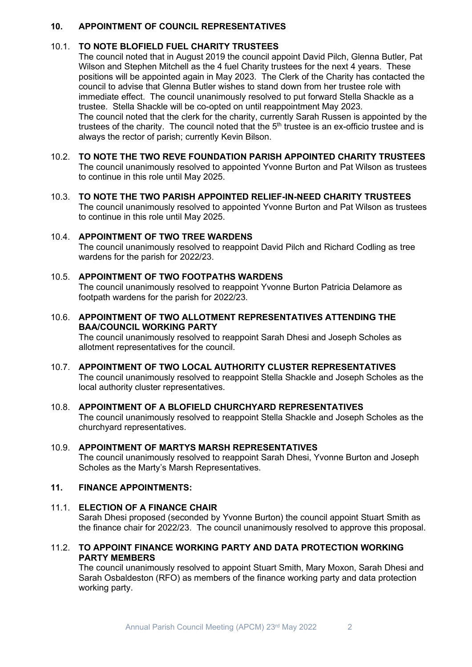#### **10. APPOINTMENT OF COUNCIL REPRESENTATIVES**

#### 10.1. **TO NOTE BLOFIELD FUEL CHARITY TRUSTEES**

The council noted that in August 2019 the council appoint David Pilch, Glenna Butler, Pat Wilson and Stephen Mitchell as the 4 fuel Charity trustees for the next 4 years. These positions will be appointed again in May 2023. The Clerk of the Charity has contacted the council to advise that Glenna Butler wishes to stand down from her trustee role with immediate effect. The council unanimously resolved to put forward Stella Shackle as a trustee. Stella Shackle will be co-opted on until reappointment May 2023.

The council noted that the clerk for the charity, currently Sarah Russen is appointed by the trustees of the charity. The council noted that the  $5<sup>th</sup>$  trustee is an ex-officio trustee and is always the rector of parish; currently Kevin Bilson.

#### 10.2. **TO NOTE THE TWO REVE FOUNDATION PARISH APPOINTED CHARITY TRUSTEES** The council unanimously resolved to appointed Yvonne Burton and Pat Wilson as trustees to continue in this role until May 2025.

10.3. **TO NOTE THE TWO PARISH APPOINTED RELIEF-IN-NEED CHARITY TRUSTEES** The council unanimously resolved to appointed Yvonne Burton and Pat Wilson as trustees to continue in this role until May 2025.

#### 10.4. **APPOINTMENT OF TWO TREE WARDENS**

The council unanimously resolved to reappoint David Pilch and Richard Codling as tree wardens for the parish for 2022/23.

#### 10.5. **APPOINTMENT OF TWO FOOTPATHS WARDENS**

The council unanimously resolved to reappoint Yvonne Burton Patricia Delamore as footpath wardens for the parish for 2022/23.

# 10.6. **APPOINTMENT OF TWO ALLOTMENT REPRESENTATIVES ATTENDING THE BAA/COUNCIL WORKING PARTY**

The council unanimously resolved to reappoint Sarah Dhesi and Joseph Scholes as allotment representatives for the council.

#### 10.7. **APPOINTMENT OF TWO LOCAL AUTHORITY CLUSTER REPRESENTATIVES** The council unanimously resolved to reappoint Stella Shackle and Joseph Scholes as the local authority cluster representatives.

## 10.8. **APPOINTMENT OF A BLOFIELD CHURCHYARD REPRESENTATIVES**

The council unanimously resolved to reappoint Stella Shackle and Joseph Scholes as the churchyard representatives.

#### 10.9. **APPOINTMENT OF MARTYS MARSH REPRESENTATIVES**

The council unanimously resolved to reappoint Sarah Dhesi, Yvonne Burton and Joseph Scholes as the Marty's Marsh Representatives.

#### **11. FINANCE APPOINTMENTS:**

#### 11.1. **ELECTION OF A FINANCE CHAIR**

Sarah Dhesi proposed (seconded by Yvonne Burton) the council appoint Stuart Smith as the finance chair for 2022/23. The council unanimously resolved to approve this proposal.

#### 11.2. **TO APPOINT FINANCE WORKING PARTY AND DATA PROTECTION WORKING PARTY MEMBERS**

The council unanimously resolved to appoint Stuart Smith, Mary Moxon, Sarah Dhesi and Sarah Osbaldeston (RFO) as members of the finance working party and data protection working party.